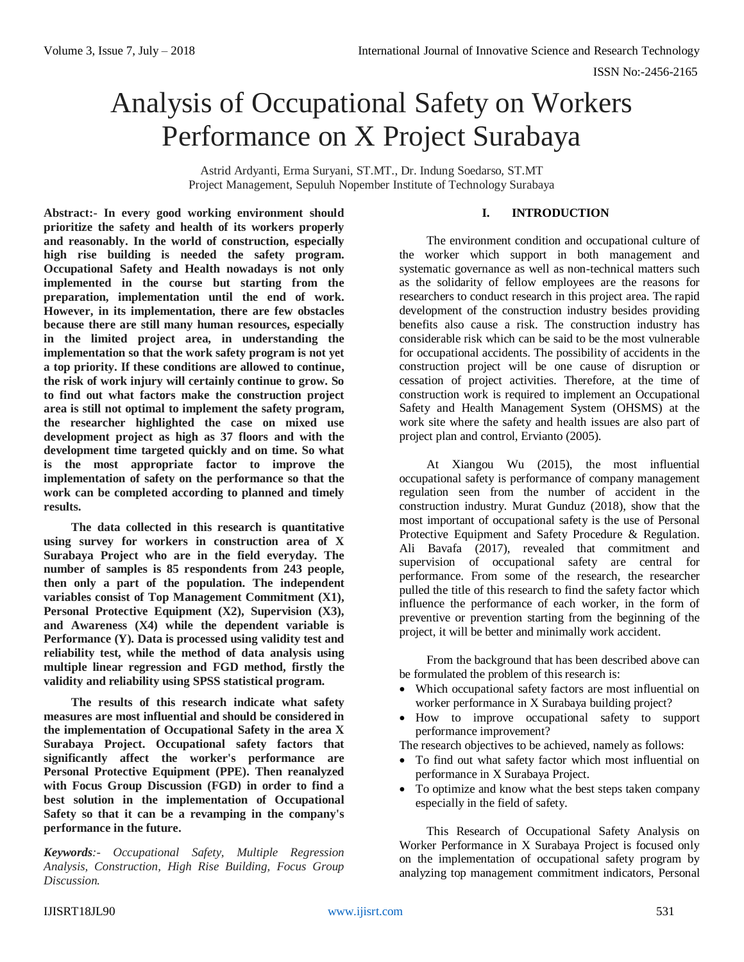# Analysis of Occupational Safety on Workers Performance on X Project Surabaya

Astrid Ardyanti, Erma Suryani, ST.MT., Dr. Indung Soedarso, ST.MT Project Management, Sepuluh Nopember Institute of Technology Surabaya

**Abstract:- In every good working environment should prioritize the safety and health of its workers properly and reasonably. In the world of construction, especially high rise building is needed the safety program. Occupational Safety and Health nowadays is not only implemented in the course but starting from the preparation, implementation until the end of work. However, in its implementation, there are few obstacles because there are still many human resources, especially in the limited project area, in understanding the implementation so that the work safety program is not yet a top priority. If these conditions are allowed to continue, the risk of work injury will certainly continue to grow. So to find out what factors make the construction project area is still not optimal to implement the safety program, the researcher highlighted the case on mixed use development project as high as 37 floors and with the development time targeted quickly and on time. So what is the most appropriate factor to improve the implementation of safety on the performance so that the work can be completed according to planned and timely results.**

**The data collected in this research is quantitative using survey for workers in construction area of X Surabaya Project who are in the field everyday. The number of samples is 85 respondents from 243 people, then only a part of the population. The independent variables consist of Top Management Commitment (X1), Personal Protective Equipment (X2), Supervision (X3), and Awareness (X4) while the dependent variable is Performance (Y). Data is processed using validity test and reliability test, while the method of data analysis using multiple linear regression and FGD method, firstly the validity and reliability using SPSS statistical program.**

**The results of this research indicate what safety measures are most influential and should be considered in the implementation of Occupational Safety in the area X Surabaya Project. Occupational safety factors that significantly affect the worker's performance are Personal Protective Equipment (PPE). Then reanalyzed with Focus Group Discussion (FGD) in order to find a best solution in the implementation of Occupational Safety so that it can be a revamping in the company's performance in the future.**

*Keywords:- Occupational Safety, Multiple Regression Analysis, Construction, High Rise Building, Focus Group Discussion.*

# **I. INTRODUCTION**

The environment condition and occupational culture of the worker which support in both management and systematic governance as well as non-technical matters such as the solidarity of fellow employees are the reasons for researchers to conduct research in this project area. The rapid development of the construction industry besides providing benefits also cause a risk. The construction industry has considerable risk which can be said to be the most vulnerable for occupational accidents. The possibility of accidents in the construction project will be one cause of disruption or cessation of project activities. Therefore, at the time of construction work is required to implement an Occupational Safety and Health Management System (OHSMS) at the work site where the safety and health issues are also part of project plan and control, Ervianto (2005).

At Xiangou Wu (2015), the most influential occupational safety is performance of company management regulation seen from the number of accident in the construction industry. Murat Gunduz (2018), show that the most important of occupational safety is the use of Personal Protective Equipment and Safety Procedure & Regulation. Ali Bavafa (2017), revealed that commitment and supervision of occupational safety are central for performance. From some of the research, the researcher pulled the title of this research to find the safety factor which influence the performance of each worker, in the form of preventive or prevention starting from the beginning of the project, it will be better and minimally work accident.

From the background that has been described above can be formulated the problem of this research is:

- Which occupational safety factors are most influential on worker performance in X Surabaya building project?
- How to improve occupational safety to support performance improvement?

The research objectives to be achieved, namely as follows:

- To find out what safety factor which most influential on performance in X Surabaya Project.
- To optimize and know what the best steps taken company especially in the field of safety.

This Research of Occupational Safety Analysis on Worker Performance in X Surabaya Project is focused only on the implementation of occupational safety program by analyzing top management commitment indicators, Personal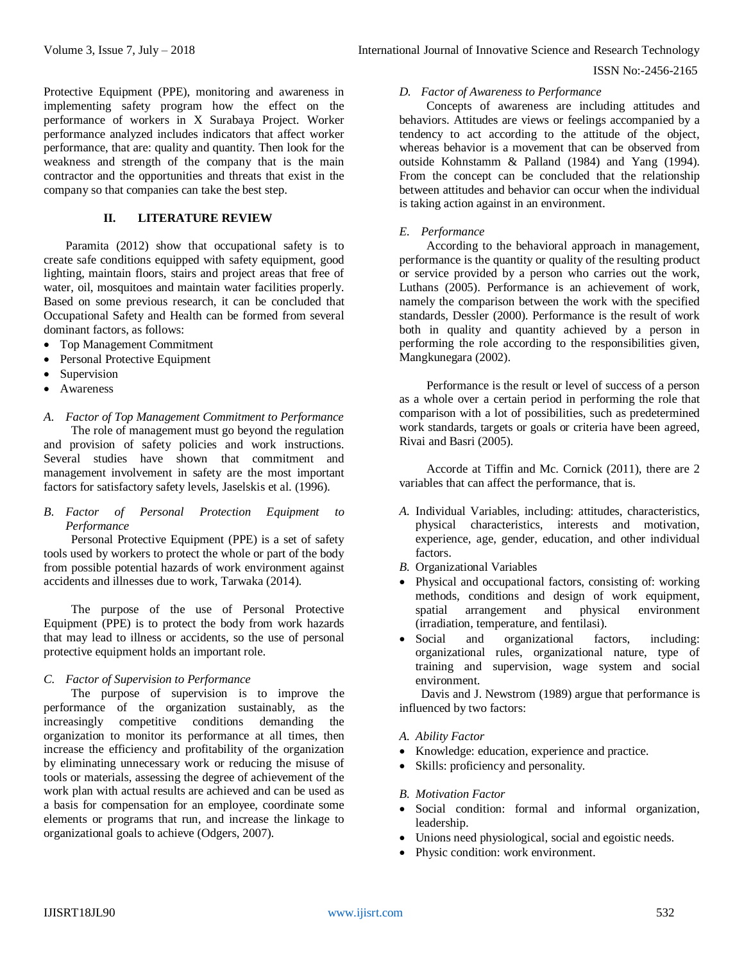Protective Equipment (PPE), monitoring and awareness in implementing safety program how the effect on the performance of workers in X Surabaya Project. Worker performance analyzed includes indicators that affect worker performance, that are: quality and quantity. Then look for the weakness and strength of the company that is the main contractor and the opportunities and threats that exist in the company so that companies can take the best step.

# **II. LITERATURE REVIEW**

Paramita (2012) show that occupational safety is to create safe conditions equipped with safety equipment, good lighting, maintain floors, stairs and project areas that free of water, oil, mosquitoes and maintain water facilities properly. Based on some previous research, it can be concluded that Occupational Safety and Health can be formed from several dominant factors, as follows:

- Top Management Commitment
- Personal Protective Equipment
- Supervision
- Awareness

# *A. Factor of Top Management Commitment to Performance* The role of management must go beyond the regulation and provision of safety policies and work instructions. Several studies have shown that commitment and management involvement in safety are the most important factors for satisfactory safety levels, Jaselskis et al. (1996).

# *B. Factor of Personal Protection Equipment to Performance*

Personal Protective Equipment (PPE) is a set of safety tools used by workers to protect the whole or part of the body from possible potential hazards of work environment against accidents and illnesses due to work, Tarwaka (2014).

The purpose of the use of Personal Protective Equipment (PPE) is to protect the body from work hazards that may lead to illness or accidents, so the use of personal protective equipment holds an important role.

# *C. Factor of Supervision to Performance*

The purpose of supervision is to improve the performance of the organization sustainably, as the increasingly competitive conditions demanding the organization to monitor its performance at all times, then increase the efficiency and profitability of the organization by eliminating unnecessary work or reducing the misuse of tools or materials, assessing the degree of achievement of the work plan with actual results are achieved and can be used as a basis for compensation for an employee, coordinate some elements or programs that run, and increase the linkage to organizational goals to achieve (Odgers, 2007).

## *D. Factor of Awareness to Performance*

Concepts of awareness are including attitudes and behaviors. Attitudes are views or feelings accompanied by a tendency to act according to the attitude of the object, whereas behavior is a movement that can be observed from outside Kohnstamm & Palland (1984) and Yang (1994). From the concept can be concluded that the relationship between attitudes and behavior can occur when the individual is taking action against in an environment.

# *E. Performance*

According to the behavioral approach in management, performance is the quantity or quality of the resulting product or service provided by a person who carries out the work, Luthans (2005). Performance is an achievement of work, namely the comparison between the work with the specified standards, Dessler (2000). Performance is the result of work both in quality and quantity achieved by a person in performing the role according to the responsibilities given, Mangkunegara (2002).

Performance is the result or level of success of a person as a whole over a certain period in performing the role that comparison with a lot of possibilities, such as predetermined work standards, targets or goals or criteria have been agreed, Rivai and Basri (2005).

Accorde at Tiffin and Mc. Cornick (2011), there are 2 variables that can affect the performance, that is.

- *A.* Individual Variables, including: attitudes, characteristics, physical characteristics, interests and motivation, experience, age, gender, education, and other individual factors.
- *B.* Organizational Variables
- Physical and occupational factors, consisting of: working methods, conditions and design of work equipment, spatial arrangement and physical environment (irradiation, temperature, and fentilasi).
- Social and organizational factors, including: organizational rules, organizational nature, type of training and supervision, wage system and social environment.

Davis and J. Newstrom (1989) argue that performance is influenced by two factors:

# *A. Ability Factor*

- Knowledge: education, experience and practice.
- Skills: proficiency and personality.

# *B. Motivation Factor*

- Social condition: formal and informal organization, leadership.
- Unions need physiological, social and egoistic needs.
- Physic condition: work environment.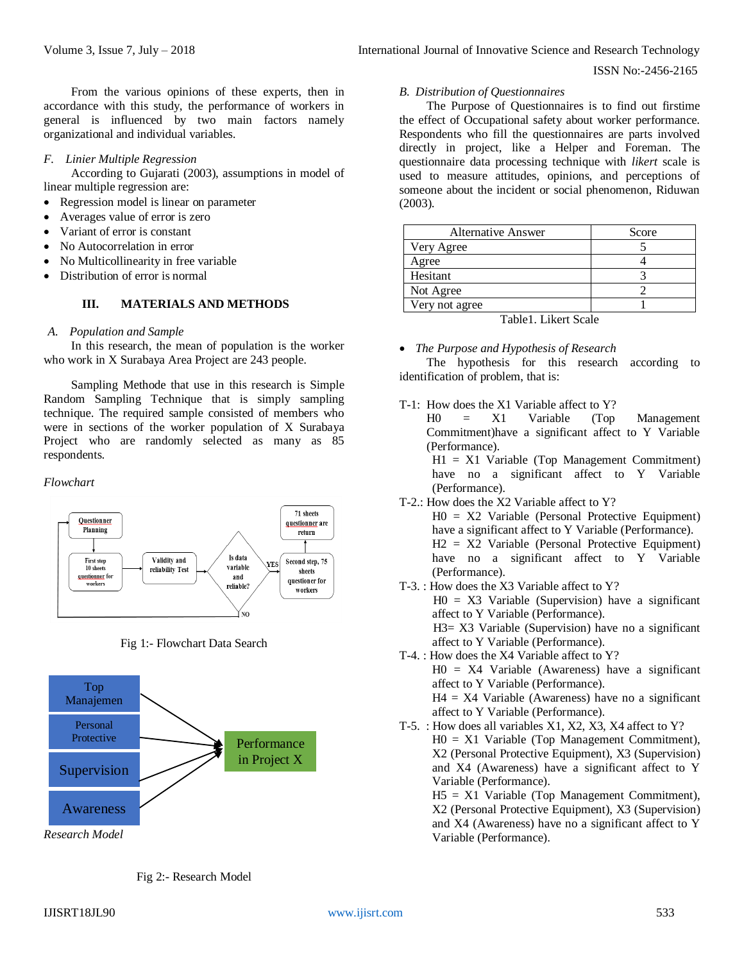From the various opinions of these experts, then in accordance with this study, the performance of workers in general is influenced by two main factors namely organizational and individual variables.

#### *F. Linier Multiple Regression*

According to Gujarati (2003), assumptions in model of linear multiple regression are:

- Regression model is linear on parameter
- Averages value of error is zero
- Variant of error is constant
- No Autocorrelation in error
- No Multicollinearity in free variable
- Distribution of error is normal

# **III. MATERIALS AND METHODS**

#### *A. Population and Sample*

In this research, the mean of population is the worker who work in X Surabaya Area Project are 243 people.

Sampling Methode that use in this research is Simple Random Sampling Technique that is simply sampling technique. The required sample consisted of members who were in sections of the worker population of X Surabaya Project who are randomly selected as many as 85 respondents.

#### *Flowchart*



Fig 1:- Flowchart Data Search





## *B. Distribution of Questionnaires*

The Purpose of Questionnaires is to find out firstime the effect of Occupational safety about worker performance. Respondents who fill the questionnaires are parts involved directly in project, like a Helper and Foreman. The questionnaire data processing technique with *likert* scale is used to measure attitudes, opinions, and perceptions of someone about the incident or social phenomenon, Riduwan (2003).

| <b>Alternative Answer</b> | Score |
|---------------------------|-------|
| Very Agree                |       |
| Agree                     |       |
| Hesitant                  |       |
| Not Agree                 |       |
| Very not agree            |       |
| Table1. Likert Scale      |       |

#### *The Purpose and Hypothesis of Research*

The hypothesis for this research according to identification of problem, that is:

- T-1: How does the X1 Variable affect to Y?
	- H0 = X1 Variable (Top Management Commitment)have a significant affect to Y Variable (Performance).

H1 = X1 Variable (Top Management Commitment) have no a significant affect to Y Variable (Performance).

- T-2.: How does the X2 Variable affect to Y?
	- H0 = X2 Variable (Personal Protective Equipment) have a significant affect to Y Variable (Performance). H2 = X2 Variable (Personal Protective Equipment) have no a significant affect to Y Variable (Performance).
- T-3. : How does the X3 Variable affect to Y?  $H0 = X3$  Variable (Supervision) have a significant affect to Y Variable (Performance). H3= X3 Variable (Supervision) have no a significant affect to Y Variable (Performance). T-4. : How does the X4 Variable affect to Y?
	- $H0 = X4$  Variable (Awareness) have a significant affect to Y Variable (Performance).  $H4 = X4$  Variable (Awareness) have no a significant
- affect to Y Variable (Performance). T-5. : How does all variables X1, X2, X3, X4 affect to Y? H0 = X1 Variable (Top Management Commitment), X2 (Personal Protective Equipment), X3 (Supervision) and X4 (Awareness) have a significant affect to Y

Variable (Performance). H5 = X1 Variable (Top Management Commitment), X2 (Personal Protective Equipment), X3 (Supervision) and X4 (Awareness) have no a significant affect to Y Variable (Performance).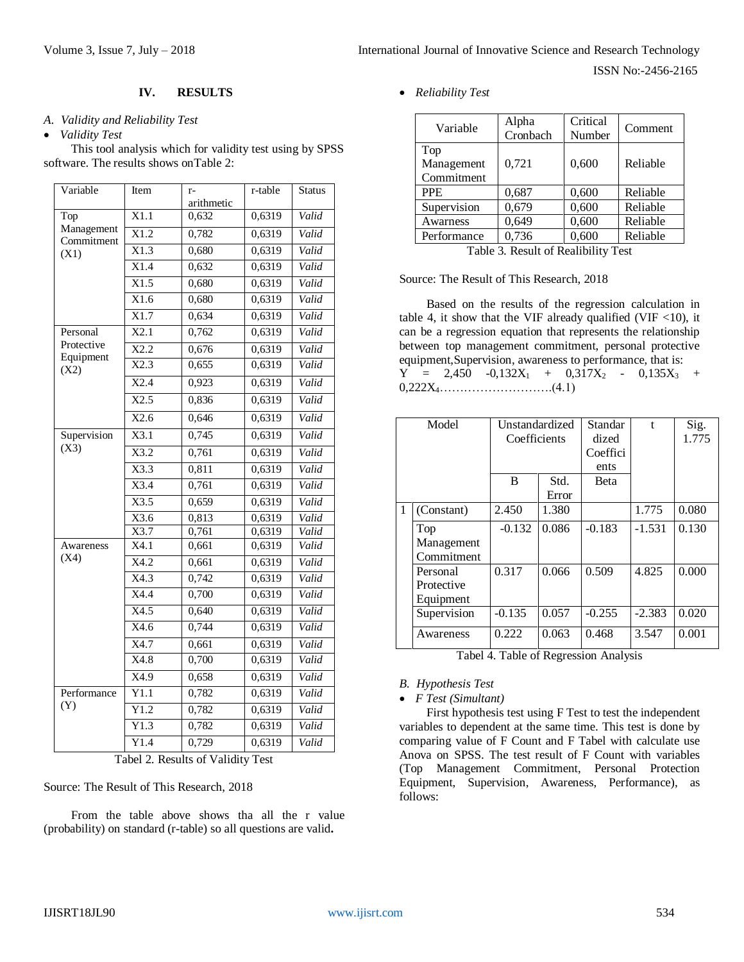# **IV. RESULTS**

## *A. Validity and Reliability Test*

#### *Validity Test*

This tool analysis which for validity test using by SPSS software. The results shows onTable 2:

| Variable                | Item              | r-         | r-table | <b>Status</b> |
|-------------------------|-------------------|------------|---------|---------------|
|                         |                   | arithmetic |         |               |
| Top<br>Management       | X1.1              | 0,632      | 0,6319  | Valid         |
| Commitment              | X1.2              | 0,782      | 0,6319  | Valid         |
| (X1)                    | X1.3              | 0,680      | 0,6319  | Valid         |
|                         | X1.4              | 0,632      | 0,6319  | Valid         |
|                         | X1.5              | 0,680      | 0,6319  | Valid         |
|                         | X1.6              | 0,680      | 0,6319  | Valid         |
|                         | X1.7              | 0,634      | 0,6319  | Valid         |
| Personal                | X2.1              | 0,762      | 0,6319  | Valid         |
| Protective<br>Equipment | $\overline{X2.2}$ | 0,676      | 0,6319  | Valid         |
| (X2)                    | X2.3              | 0,655      | 0,6319  | Valid         |
|                         | X2.4              | 0,923      | 0,6319  | Valid         |
|                         | $\overline{X2.5}$ | 0,836      | 0,6319  | Valid         |
|                         | X2.6              | 0,646      | 0,6319  | Valid         |
| Supervision             | X3.1              | 0,745      | 0,6319  | Valid         |
| (X3)                    | X3.2              | 0,761      | 0,6319  | Valid         |
|                         | $\overline{X3.3}$ | 0,811      | 0,6319  | Valid         |
|                         | X3.4              | 0,761      | 0,6319  | Valid         |
|                         | X3.5              | 0,659      | 0,6319  | Valid         |
|                         | X3.6              | 0,813      | 0,6319  | Valid         |
|                         | X3.7              | 0,761      | 0,6319  | Valid         |
| Awareness               | X4.1              | 0,661      | 0,6319  | Valid         |
| (X4)                    | X4.2              | 0,661      | 0,6319  | Valid         |
|                         | X4.3              | 0,742      | 0,6319  | Valid         |
|                         | X4.4              | 0,700      | 0,6319  | Valid         |
|                         | X4.5              | 0,640      | 0,6319  | Valid         |
|                         | X4.6              | 0,744      | 0,6319  | Valid         |
|                         | X4.7              | 0,661      | 0,6319  | Valid         |
|                         | X4.8              | 0,700      | 0,6319  | Valid         |
|                         | X4.9              | 0,658      | 0,6319  | Valid         |
| Performance             | $\overline{Y1.1}$ | 0,782      | 0,6319  | Valid         |
| (Y)                     | Y1.2              | 0,782      | 0,6319  | Valid         |
|                         | Y1.3              | 0,782      | 0,6319  | Valid         |
|                         | Y1.4              | 0,729      | 0,6319  | Valid         |

Tabel 2. Results of Validity Test

Source: The Result of This Research, 2018

From the table above shows tha all the r value (probability) on standard (r-table) so all questions are valid**.**

*Reliability Test*

| Variable                        | Alpha<br>Cronbach | Critical<br>Number | Comment  |
|---------------------------------|-------------------|--------------------|----------|
| Top<br>Management<br>Commitment | 0,721             | 0,600              | Reliable |
| <b>PPE</b>                      | 0,687             | 0,600              | Reliable |
| Supervision                     | 0,679             | 0,600              | Reliable |
| Awarness                        | 0,649             | 0,600              | Reliable |
| Performance                     | 0,736             | 0,600              | Reliable |

Table 3. Result of Realibility Test

#### Source: The Result of This Research, 2018

Based on the results of the regression calculation in table 4, it show that the VIF already qualified (VIF  $<$ 10), it can be a regression equation that represents the relationship between top management commitment, personal protective equipment,Supervision, awareness to performance, that is:  $Y = 2,450 -0,132X_1 + 0,317X_2 - 0,135X_3 +$ 0,222X4……………………….(4.1)

|   | Model                               | Unstandardized<br>Coefficients |               | Standar<br>dized<br>Coeffici<br>ents | $\mathbf{f}$ | Sig.<br>1.775 |
|---|-------------------------------------|--------------------------------|---------------|--------------------------------------|--------------|---------------|
|   |                                     | B                              | Std.<br>Error | <b>Beta</b>                          |              |               |
| 1 | (Constant)                          | 2.450                          | 1.380         |                                      | 1.775        | 0.080         |
|   | Top<br>Management<br>Commitment     | $-0.132$                       | 0.086         | $-0.183$                             | $-1.531$     | 0.130         |
|   | Personal<br>Protective<br>Equipment | 0.317                          | 0.066         | 0.509                                | 4.825        | 0.000         |
|   | Supervision                         | $-0.135$                       | 0.057         | $-0.255$                             | $-2.383$     | 0.020         |
|   | Awareness                           | 0.222                          | 0.063         | 0.468                                | 3.547        | 0.001         |

Tabel 4. Table of Regression Analysis

*B. Hypothesis Test*

*F Test (Simultant)*

First hypothesis test using F Test to test the independent variables to dependent at the same time. This test is done by comparing value of F Count and F Tabel with calculate use Anova on SPSS. The test result of F Count with variables (Top Management Commitment, Personal Protection Equipment, Supervision, Awareness, Performance), as follows: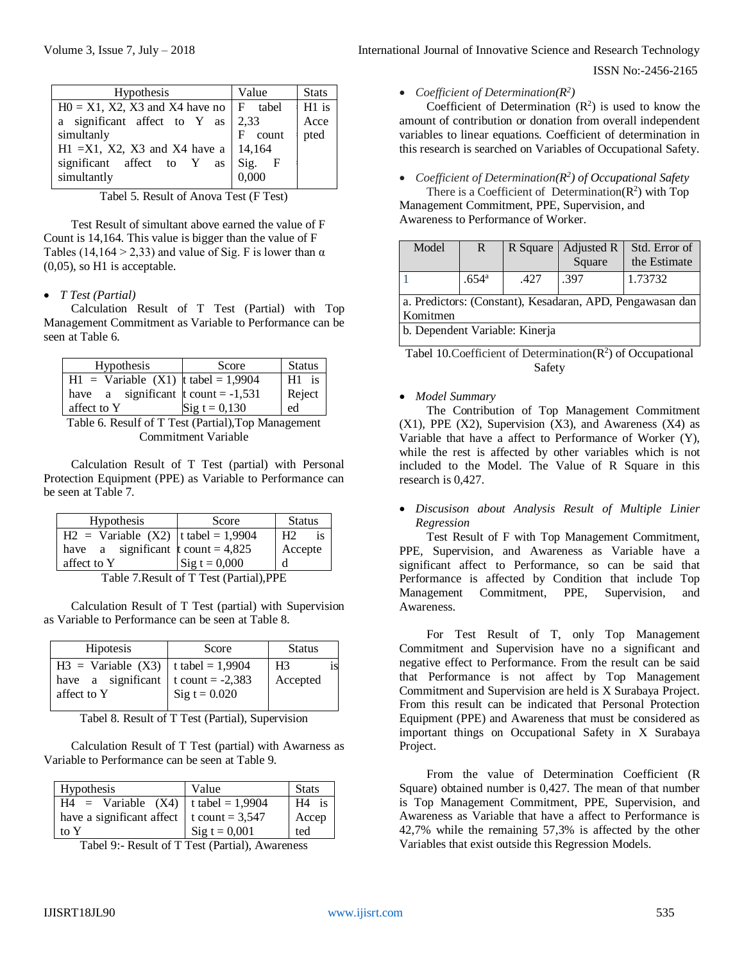| <b>Hypothesis</b>                         | Value      | <b>Stats</b> |
|-------------------------------------------|------------|--------------|
| $H0 = X1$ , X2, X3 and X4 have no F tabel |            | $H1$ is      |
| a significant affect to Y as              | 2,33       | Acce         |
| simultanly                                | count<br>F | pted         |
| $H1 = X1$ , X2, X3 and X4 have a          | 14.164     |              |
| significant affect to Y<br>as             | Sig. F     |              |
| simultantly                               | 0,000      |              |
|                                           |            |              |

Tabel 5. Result of Anova Test (F Test)

Test Result of simultant above earned the value of F Count is 14,164. This value is bigger than the value of F Tables (14,164 > 2,33) and value of Sig. F is lower than  $\alpha$ (0,05), so H1 is acceptable.

# *T Test (Partial)*

Calculation Result of T Test (Partial) with Top Management Commitment as Variable to Performance can be seen at Table 6.

| Hypothesis                                      | Score                   | <b>Status</b> |  |  |
|-------------------------------------------------|-------------------------|---------------|--|--|
| $H1 = \text{Variable} (X1)$   t tabel = 1,9904  |                         | $H1$ is       |  |  |
| have a significant $\frac{1}{2}$ count = -1,531 |                         | Reject        |  |  |
| affect to Y                                     | $\text{Sig } t = 0,130$ | ed            |  |  |
|                                                 |                         |               |  |  |

Table 6. Resulf of T Test (Partial),Top Management Commitment Variable

Calculation Result of T Test (partial) with Personal Protection Equipment (PPE) as Variable to Performance can be seen at Table 7.

| Hypothesis                                                                                                                    | Score                   | <b>Status</b> |  |
|-------------------------------------------------------------------------------------------------------------------------------|-------------------------|---------------|--|
| $H2 = \text{Variable} (X2)   t \text{ table} = 1,9904$                                                                        |                         | H2<br>is      |  |
| have a significant $\frac{1}{2}$ count = 4,825                                                                                |                         | Accepte       |  |
| affect to Y                                                                                                                   | $\text{Sig } t = 0,000$ | d             |  |
| $T_{\rm eff}$ , $T_{\rm eff}$ , $T_{\rm eff}$ , $T_{\rm eff}$ , $T_{\rm eff}$ , $T_{\rm eff}$ , $T_{\rm eff}$ , $T_{\rm eff}$ |                         |               |  |

Table 7.Result of T Test (Partial),PPE

Calculation Result of T Test (partial) with Supervision as Variable to Performance can be seen at Table 8.

| <b>Hipotesis</b>                                                                                                | Score           | <b>Status</b>     |  |
|-----------------------------------------------------------------------------------------------------------------|-----------------|-------------------|--|
| $H3 = \text{Variable } (X3)   t \text{ table} = 1,9904$<br>have a significant t count = $-2,383$<br>affect to Y | Sig $t = 0.020$ | $H_3$<br>Accepted |  |

Tabel 8. Result of T Test (Partial), Supervision

Calculation Result of T Test (partial) with Awarness as Variable to Performance can be seen at Table 9.

| <b>Hypothesis</b>                                      | Value           | <b>Stats</b> |
|--------------------------------------------------------|-----------------|--------------|
| $H4 = \text{Variable} (X4)   t \text{ table} = 1,9904$ |                 | $H4$ is      |
| have a significant affect $\vert$ t count = 3,547      |                 | Accep        |
| to Y                                                   | Sig $t = 0,001$ | ted          |

Tabel 9:- Result of T Test (Partial), Awareness

Volume 3, Issue 7, July – 2018 **International Journal of Innovative Science and Research Technology** 

ISSN No:-2456-2165

*Coefficient of Determination(R<sup>2</sup> )*

Coefficient of Determination  $(R^2)$  is used to know the amount of contribution or donation from overall independent variables to linear equations. Coefficient of determination in this research is searched on Variables of Occupational Safety.

*Coefficient of Determination(R<sup>2</sup> ) of Occupational Safety*

There is a Coefficient of Determination $(R^2)$  with Top Management Commitment, PPE, Supervision, and Awareness to Performance of Worker.

| Model |                |      | R Square   Adjusted R  <br>Square | Std. Error of<br>the Estimate |
|-------|----------------|------|-----------------------------------|-------------------------------|
|       | $.654^{\circ}$ | .427 | .397                              | 1.73732                       |
|       |                |      | $\sqrt{2}$                        |                               |

a. Predictors: (Constant), Kesadaran, APD, Pengawasan dan Komitmen

b. Dependent Variable: Kinerja

Tabel 10. Coefficient of Determination $(R^2)$  of Occupational Safety

## *Model Summary*

The Contribution of Top Management Commitment  $(X1)$ , PPE  $(X2)$ , Supervision  $(X3)$ , and Awareness  $(X4)$  as Variable that have a affect to Performance of Worker (Y), while the rest is affected by other variables which is not included to the Model. The Value of R Square in this research is 0,427.

 *Discusison about Analysis Result of Multiple Linier Regression*

Test Result of F with Top Management Commitment, PPE, Supervision, and Awareness as Variable have a significant affect to Performance, so can be said that Performance is affected by Condition that include Top Management Commitment, PPE, Supervision, and Awareness.

For Test Result of T, only Top Management Commitment and Supervision have no a significant and negative effect to Performance. From the result can be said that Performance is not affect by Top Management Commitment and Supervision are held is X Surabaya Project. From this result can be indicated that Personal Protection Equipment (PPE) and Awareness that must be considered as important things on Occupational Safety in X Surabaya Project.

From the value of Determination Coefficient (R Square) obtained number is 0,427. The mean of that number is Top Management Commitment, PPE, Supervision, and Awareness as Variable that have a affect to Performance is 42,7% while the remaining 57,3% is affected by the other Variables that exist outside this Regression Models.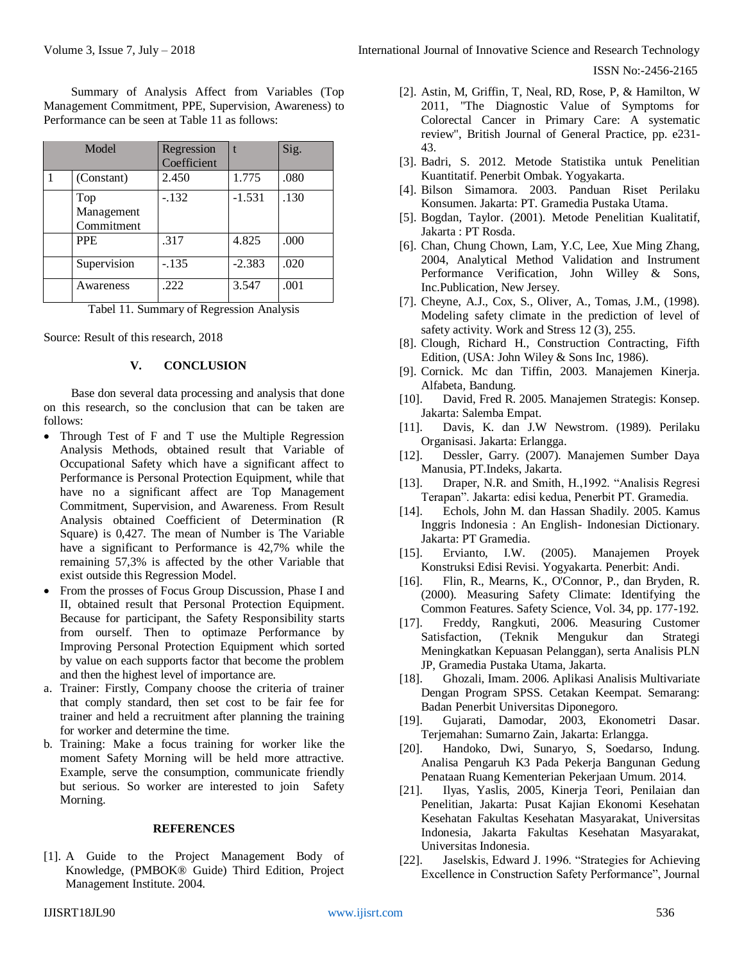Summary of Analysis Affect from Variables (Top Management Commitment, PPE, Supervision, Awareness) to Performance can be seen at Table 11 as follows:

| Model                           | Regression<br>Coefficient |          | Sig. |
|---------------------------------|---------------------------|----------|------|
| (Constant)                      | 2.450                     | 1.775    | .080 |
| Top<br>Management<br>Commitment | $-.132$                   | $-1.531$ | .130 |
| <b>PPE</b>                      | .317                      | 4.825    | .000 |
| Supervision                     | $-.135$                   | $-2.383$ | .020 |
| Awareness                       | .222                      | 3.547    | .001 |

Tabel 11. Summary of Regression Analysis

Source: Result of this research, 2018

#### **V. CONCLUSION**

Base don several data processing and analysis that done on this research, so the conclusion that can be taken are follows:

- Through Test of F and T use the Multiple Regression Analysis Methods, obtained result that Variable of Occupational Safety which have a significant affect to Performance is Personal Protection Equipment, while that have no a significant affect are Top Management Commitment, Supervision, and Awareness. From Result Analysis obtained Coefficient of Determination (R Square) is 0,427. The mean of Number is The Variable have a significant to Performance is 42,7% while the remaining 57,3% is affected by the other Variable that exist outside this Regression Model.
- From the prosses of Focus Group Discussion, Phase I and II, obtained result that Personal Protection Equipment. Because for participant, the Safety Responsibility starts from ourself. Then to optimaze Performance by Improving Personal Protection Equipment which sorted by value on each supports factor that become the problem and then the highest level of importance are.
- a. Trainer: Firstly, Company choose the criteria of trainer that comply standard, then set cost to be fair fee for trainer and held a recruitment after planning the training for worker and determine the time.
- b. Training: Make a focus training for worker like the moment Safety Morning will be held more attractive. Example, serve the consumption, communicate friendly but serious. So worker are interested to join Safety Morning.

## **REFERENCES**

[1]. A Guide to the Project Management Body of Knowledge, (PMBOK® Guide) Third Edition, Project Management Institute. 2004.

- [2]. Astin, M, Griffin, T, Neal, RD, Rose, P, & Hamilton, W 2011, "The Diagnostic Value of Symptoms for Colorectal Cancer in Primary Care: A systematic review", British Journal of General Practice, pp. e231- 43.
- [3]. Badri, S. 2012. Metode Statistika untuk Penelitian Kuantitatif. Penerbit Ombak. Yogyakarta.
- [4]. Bilson Simamora. 2003. Panduan Riset Perilaku Konsumen. Jakarta: PT. Gramedia Pustaka Utama.
- [5]. Bogdan, Taylor. (2001). Metode Penelitian Kualitatif, Jakarta : PT Rosda.
- [6]. Chan, Chung Chown, Lam, Y.C, Lee, Xue Ming Zhang, 2004, Analytical Method Validation and Instrument Performance Verification, John Willey & Sons, Inc.Publication, New Jersey.
- [7]. Cheyne, A.J., Cox, S., Oliver, A., Tomas, J.M., (1998). Modeling safety climate in the prediction of level of safety activity. Work and Stress 12 (3), 255.
- [8]. Clough, Richard H., Construction Contracting, Fifth Edition, (USA: John Wiley & Sons Inc, 1986).
- [9]. Cornick. Mc dan Tiffin, 2003. Manajemen Kinerja. Alfabeta, Bandung.
- [10]. David, Fred R. 2005. Manajemen Strategis: Konsep. Jakarta: Salemba Empat.
- [11]. Davis, K. dan J.W Newstrom. (1989). Perilaku Organisasi. Jakarta: Erlangga.
- [12]. Dessler, Garry. (2007). Manajemen Sumber Daya Manusia, PT.Indeks, Jakarta.
- [13]. Draper, N.R. and Smith, H., 1992. "Analisis Regresi Terapan". Jakarta: edisi kedua, Penerbit PT. Gramedia.
- [14]. Echols, John M. dan Hassan Shadily. 2005. Kamus Inggris Indonesia : An English- Indonesian Dictionary. Jakarta: PT Gramedia.
- [15]. Ervianto, I.W. (2005). Manajemen Proyek Konstruksi Edisi Revisi. Yogyakarta. Penerbit: Andi.
- [16]. Flin, R., Mearns, K., O'Connor, P., dan Bryden, R. (2000). Measuring Safety Climate: Identifying the Common Features. Safety Science, Vol. 34, pp. 177-192.
- [17]. Freddy, Rangkuti, 2006. Measuring Customer Satisfaction, (Teknik Mengukur dan Strategi Meningkatkan Kepuasan Pelanggan), serta Analisis PLN JP, Gramedia Pustaka Utama, Jakarta.
- [18]. Ghozali, Imam. 2006. Aplikasi Analisis Multivariate Dengan Program SPSS. Cetakan Keempat. Semarang: Badan Penerbit Universitas Diponegoro.
- [19]. Gujarati, Damodar, 2003, Ekonometri Dasar. Terjemahan: Sumarno Zain, Jakarta: Erlangga.
- [20]. Handoko, Dwi, Sunaryo, S, Soedarso, Indung. Analisa Pengaruh K3 Pada Pekerja Bangunan Gedung Penataan Ruang Kementerian Pekerjaan Umum. 2014.
- [21]. Ilyas, Yaslis, 2005, Kinerja Teori, Penilaian dan Penelitian, Jakarta: Pusat Kajian Ekonomi Kesehatan Kesehatan Fakultas Kesehatan Masyarakat, Universitas Indonesia, Jakarta Fakultas Kesehatan Masyarakat, Universitas Indonesia.
- [22]. Jaselskis, Edward J. 1996. "Strategies for Achieving Excellence in Construction Safety Performance", Journal